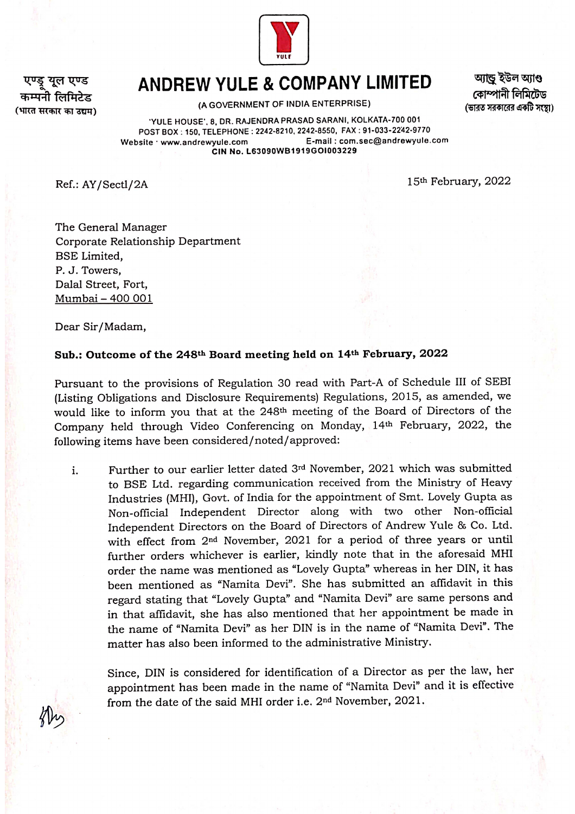

## ANDREW YULE & COMPANY LIMITED

(भारत सरकार का उद्यम)

एण्ड युल एण्ड

(A GOVERNMENT OF INDIA ENTERPRISE)

আান্ড ইউল আাণ্ড কোম্পানী লিমিটেড (ভারত সরকারের একটি সংস্থা)

YULE HOUSE', 8, DR. RAJENDRA PRASAD SARANI, KOLKATA-700 001 POST BOX: 150, TELEPHONE: 2242-8210, 2242-8550, FAX :91-033-2242-9770 Website www.andrewyule.com E-mail: com.sec@andrewyule.com CIN No. L63090WB1919G01003229

Ref.: AY/Sectl/2A 15th February, 2022

The General Manager Corporate Relationship Department BSE Limited, P. J. Towers, Dalal Street, Fort, Mumbai-400 001

Dear Sir/Madam,

## Sub.: Outcome of the 248th Board meeting held on 14th February, 2022

Pursuant to the provisions of Regulation 30 read with Part-A of Schedule II of SEBI (Listing Obligations and Disclosure Requirements) Regulations, 2015, as amended, we would like to inform you that at the 248th meeting of the Board of Directors of the Company held through Video Conferencing on Monday, 14th February, 2022, the following items have been considered/noted/approved:

Further to our earlier letter dated 3rd November, 2021 which was submitted to BSE Ltd. regarding communication received from the Ministry of Heavy Industries (MHI), Govt. of India for the appointment of Smt. Lovely Gupta as Non-official Independent Director along with two other Non-official Independernt Directors on the Board of Directors of Andrew Yule & Co. Ltd. with effect from 2nd November, 2021 for a period of three years or until further orders whichever is earlier, kindly note that in the aforesaid MHI . order the name was mentioned as "Lovely Gupta" whereas in her DIN, it has been mentioned as "Namita Devi". She has submitted an affidavit in this regard stating that "Lovely Gupta" and "Namita Devi" are same persons and in that affidavit, she has also mentioned that her appointment be made in the name of "Namita Devi" as her DIN is in the name of "Namita Devi". The matter has also been informed to the administrative Ministry.

Since, DIN is considered for identification of a Director as per the law, her appointment has been made in the name of "Namita Devi" and it is effective from the date of the said MHI order i.e. 2nd November, 2021.